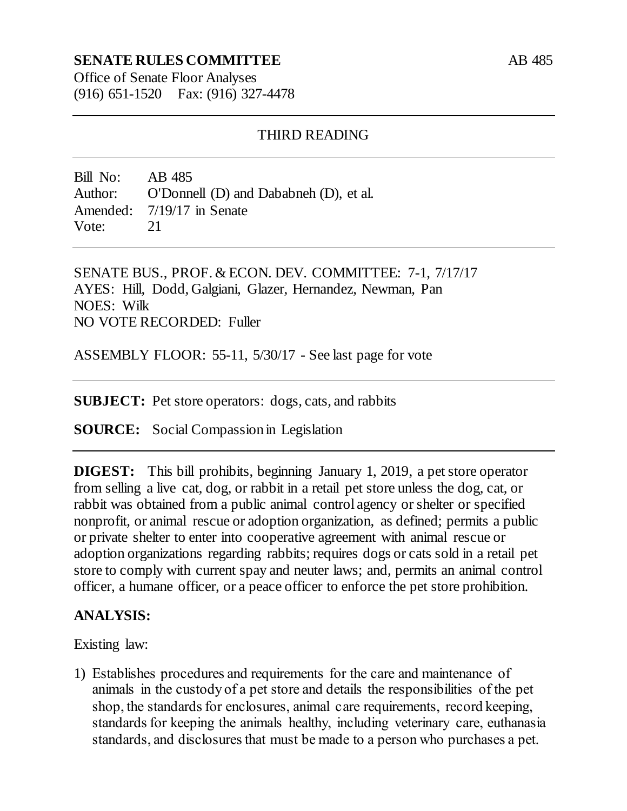## **SENATE RULES COMMITTEE**

Office of Senate Floor Analyses (916) 651-1520 Fax: (916) 327-4478

### THIRD READING

Bill No: AB 485 Author: O'Donnell (D) and Dababneh (D), et al. Amended: 7/19/17 in Senate Vote: 21

SENATE BUS., PROF. & ECON. DEV. COMMITTEE: 7-1, 7/17/17 AYES: Hill, Dodd, Galgiani, Glazer, Hernandez, Newman, Pan NOES: Wilk NO VOTE RECORDED: Fuller

ASSEMBLY FLOOR: 55-11, 5/30/17 - See last page for vote

**SUBJECT:** Pet store operators: dogs, cats, and rabbits

**SOURCE:** Social Compassion in Legislation

**DIGEST:** This bill prohibits, beginning January 1, 2019, a pet store operator from selling a live cat, dog, or rabbit in a retail pet store unless the dog, cat, or rabbit was obtained from a public animal control agency or shelter or specified nonprofit, or animal rescue or adoption organization, as defined; permits a public or private shelter to enter into cooperative agreement with animal rescue or adoption organizations regarding rabbits; requires dogs or cats sold in a retail pet store to comply with current spay and neuter laws; and, permits an animal control officer, a humane officer, or a peace officer to enforce the pet store prohibition.

## **ANALYSIS:**

Existing law:

1) Establishes procedures and requirements for the care and maintenance of animals in the custody of a pet store and details the responsibilities of the pet shop, the standards for enclosures, animal care requirements, record keeping, standards for keeping the animals healthy, including veterinary care, euthanasia standards, and disclosures that must be made to a person who purchases a pet.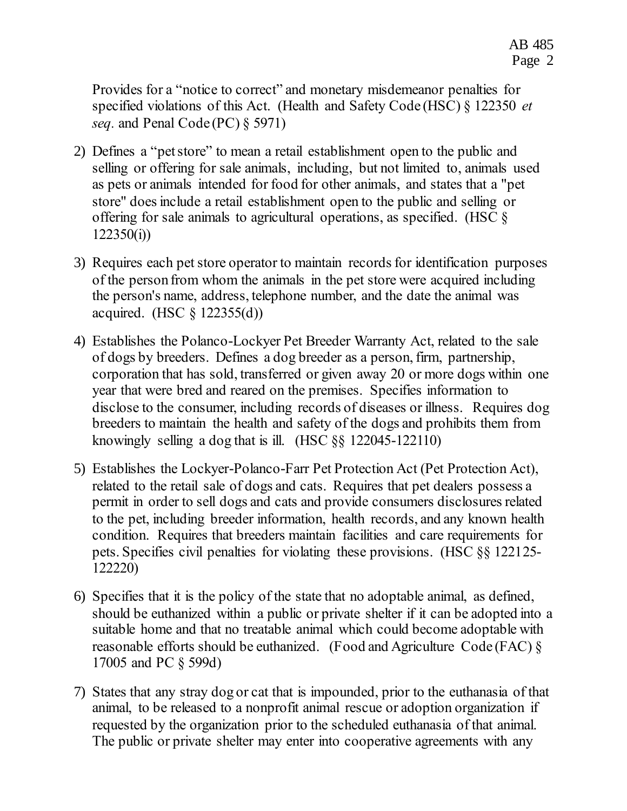Provides for a "notice to correct" and monetary misdemeanor penalties for specified violations of this Act. (Health and Safety Code (HSC) § 122350 *et seq.* and Penal Code (PC) § 5971)

- 2) Defines a "pet store" to mean a retail establishment open to the public and selling or offering for sale animals, including, but not limited to, animals used as pets or animals intended for food for other animals, and states that a "pet store" does include a retail establishment open to the public and selling or offering for sale animals to agricultural operations, as specified. (HSC §  $122350(i)$
- 3) Requires each pet store operator to maintain records for identification purposes of the person from whom the animals in the pet store were acquired including the person's name, address, telephone number, and the date the animal was acquired. (HSC § 122355(d))
- 4) Establishes the Polanco-Lockyer Pet Breeder Warranty Act, related to the sale of dogs by breeders. Defines a dog breeder as a person, firm, partnership, corporation that has sold, transferred or given away 20 or more dogs within one year that were bred and reared on the premises. Specifies information to disclose to the consumer, including records of diseases or illness. Requires dog breeders to maintain the health and safety of the dogs and prohibits them from knowingly selling a dog that is ill. (HSC §§ 122045-122110)
- 5) Establishes the Lockyer-Polanco-Farr Pet Protection Act (Pet Protection Act), related to the retail sale of dogs and cats. Requires that pet dealers possess a permit in order to sell dogs and cats and provide consumers disclosures related to the pet, including breeder information, health records, and any known health condition. Requires that breeders maintain facilities and care requirements for pets. Specifies civil penalties for violating these provisions. (HSC §§ 122125- 122220)
- 6) Specifies that it is the policy of the state that no adoptable animal, as defined, should be euthanized within a public or private shelter if it can be adopted into a suitable home and that no treatable animal which could become adoptable with reasonable efforts should be euthanized. (Food and Agriculture Code (FAC) § 17005 and PC § 599d)
- 7) States that any stray dog or cat that is impounded, prior to the euthanasia of that animal, to be released to a nonprofit animal rescue or adoption organization if requested by the organization prior to the scheduled euthanasia of that animal. The public or private shelter may enter into cooperative agreements with any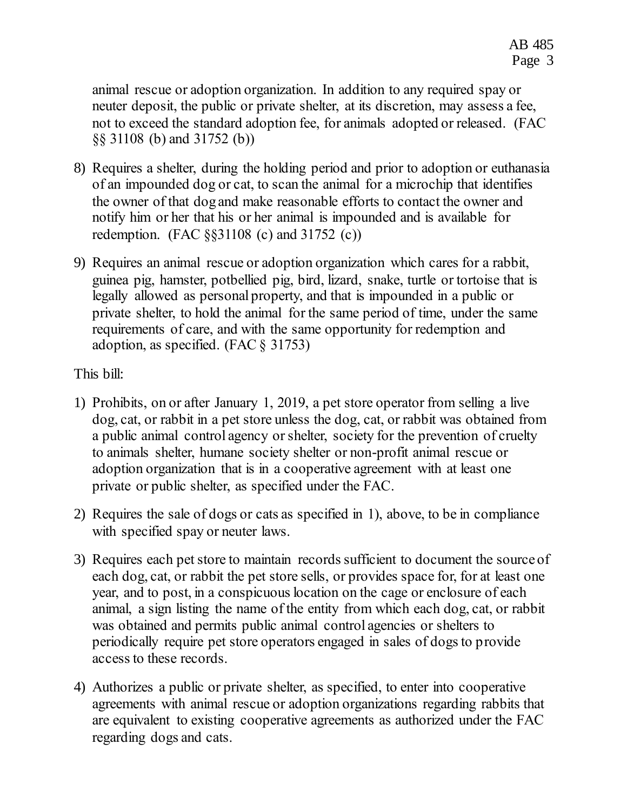animal rescue or adoption organization. In addition to any required spay or neuter deposit, the public or private shelter, at its discretion, may assess a fee, not to exceed the standard adoption fee, for animals adopted or released. (FAC §§ 31108 (b) and 31752 (b))

- 8) Requires a shelter, during the holding period and prior to adoption or euthanasia of an impounded dog or cat, to scan the animal for a microchip that identifies the owner of that dog and make reasonable efforts to contact the owner and notify him or her that his or her animal is impounded and is available for redemption. (FAC §§31108 (c) and 31752 (c))
- 9) Requires an animal rescue or adoption organization which cares for a rabbit, guinea pig, hamster, potbellied pig, bird, lizard, snake, turtle or tortoise that is legally allowed as personal property, and that is impounded in a public or private shelter, to hold the animal for the same period of time, under the same requirements of care, and with the same opportunity for redemption and adoption, as specified. (FAC § 31753)

## This bill:

- 1) Prohibits, on or after January 1, 2019, a pet store operator from selling a live dog, cat, or rabbit in a pet store unless the dog, cat, or rabbit was obtained from a public animal control agency or shelter, society for the prevention of cruelty to animals shelter, humane society shelter or non-profit animal rescue or adoption organization that is in a cooperative agreement with at least one private or public shelter, as specified under the FAC.
- 2) Requires the sale of dogs or cats as specified in 1), above, to be in compliance with specified spay or neuter laws.
- 3) Requires each pet store to maintain records sufficient to document the source of each dog, cat, or rabbit the pet store sells, or provides space for, for at least one year, and to post, in a conspicuous location on the cage or enclosure of each animal, a sign listing the name of the entity from which each dog, cat, or rabbit was obtained and permits public animal control agencies or shelters to periodically require pet store operators engaged in sales of dogs to provide access to these records.
- 4) Authorizes a public or private shelter, as specified, to enter into cooperative agreements with animal rescue or adoption organizations regarding rabbits that are equivalent to existing cooperative agreements as authorized under the FAC regarding dogs and cats.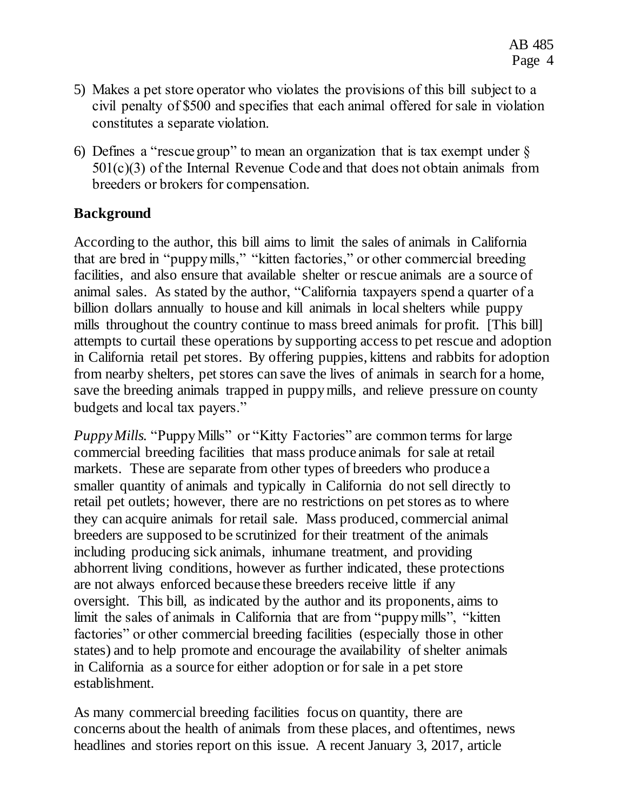- 5) Makes a pet store operator who violates the provisions of this bill subject to a civil penalty of \$500 and specifies that each animal offered for sale in violation constitutes a separate violation.
- 6) Defines a "rescue group" to mean an organization that is tax exempt under  $\S$ 501(c)(3) of the Internal Revenue Code and that does not obtain animals from breeders or brokers for compensation.

# **Background**

According to the author, this bill aims to limit the sales of animals in California that are bred in "puppy mills," "kitten factories," or other commercial breeding facilities, and also ensure that available shelter or rescue animals are a source of animal sales. As stated by the author, "California taxpayers spend a quarter of a billion dollars annually to house and kill animals in local shelters while puppy mills throughout the country continue to mass breed animals for profit. [This bill] attempts to curtail these operations by supporting access to pet rescue and adoption in California retail pet stores. By offering puppies, kittens and rabbits for adoption from nearby shelters, pet stores can save the lives of animals in search for a home, save the breeding animals trapped in puppy mills, and relieve pressure on county budgets and local tax payers."

*Puppy Mills.* "Puppy Mills" or "Kitty Factories" are common terms for large commercial breeding facilities that mass produce animals for sale at retail markets. These are separate from other types of breeders who produce a smaller quantity of animals and typically in California do not sell directly to retail pet outlets; however, there are no restrictions on pet stores as to where they can acquire animals for retail sale. Mass produced, commercial animal breeders are supposed to be scrutinized for their treatment of the animals including producing sick animals, inhumane treatment, and providing abhorrent living conditions, however as further indicated, these protections are not always enforced because these breeders receive little if any oversight. This bill, as indicated by the author and its proponents, aims to limit the sales of animals in California that are from "puppy mills", "kitten factories" or other commercial breeding facilities (especially those in other states) and to help promote and encourage the availability of shelter animals in California as a source for either adoption or for sale in a pet store establishment.

As many commercial breeding facilities focus on quantity, there are concerns about the health of animals from these places, and oftentimes, news headlines and stories report on this issue. A recent January 3, 2017, article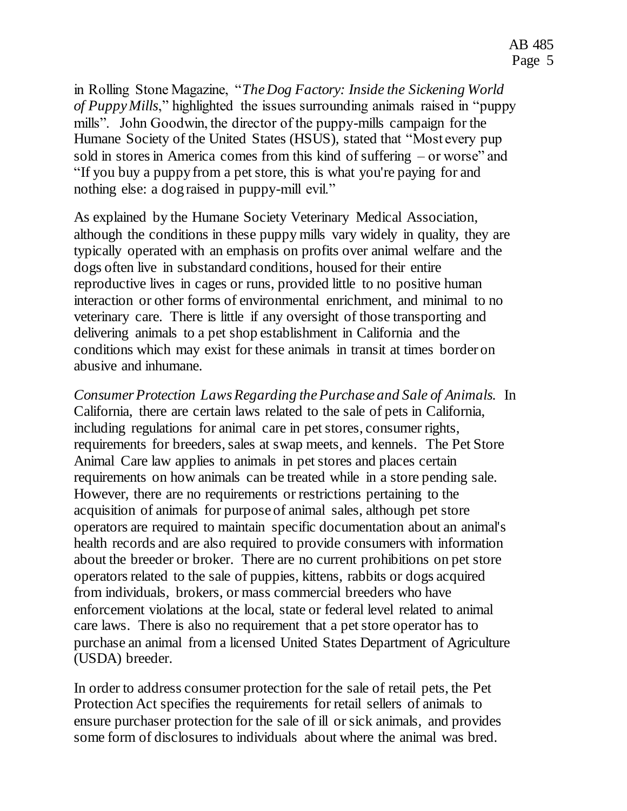in Rolling Stone Magazine, "*The Dog Factory: Inside the Sickening World of Puppy Mills*," highlighted the issues surrounding animals raised in "puppy mills". John Goodwin, the director of the puppy-mills campaign for the Humane Society of the United States (HSUS), stated that "Most every pup sold in stores in America comes from this kind of suffering – or worse" and "If you buy a puppy from a pet store, this is what you're paying for and nothing else: a dog raised in puppy-mill evil."

As explained by the Humane Society Veterinary Medical Association, although the conditions in these puppy mills vary widely in quality, they are typically operated with an emphasis on profits over animal welfare and the dogs often live in substandard conditions, housed for their entire reproductive lives in cages or runs, provided little to no positive human interaction or other forms of environmental enrichment, and minimal to no veterinary care. There is little if any oversight of those transporting and delivering animals to a pet shop establishment in California and the conditions which may exist for these animals in transit at times border on abusive and inhumane.

*Consumer Protection Laws Regarding the Purchase and Sale of Animals.* In California, there are certain laws related to the sale of pets in California, including regulations for animal care in pet stores, consumer rights, requirements for breeders, sales at swap meets, and kennels. The Pet Store Animal Care law applies to animals in pet stores and places certain requirements on how animals can be treated while in a store pending sale. However, there are no requirements or restrictions pertaining to the acquisition of animals for purpose of animal sales, although pet store operators are required to maintain specific documentation about an animal's health records and are also required to provide consumers with information about the breeder or broker. There are no current prohibitions on pet store operators related to the sale of puppies, kittens, rabbits or dogs acquired from individuals, brokers, or mass commercial breeders who have enforcement violations at the local, state or federal level related to animal care laws. There is also no requirement that a pet store operator has to purchase an animal from a licensed United States Department of Agriculture (USDA) breeder.

In order to address consumer protection for the sale of retail pets, the Pet Protection Act specifies the requirements for retail sellers of animals to ensure purchaser protection for the sale of ill or sick animals, and provides some form of disclosures to individuals about where the animal was bred.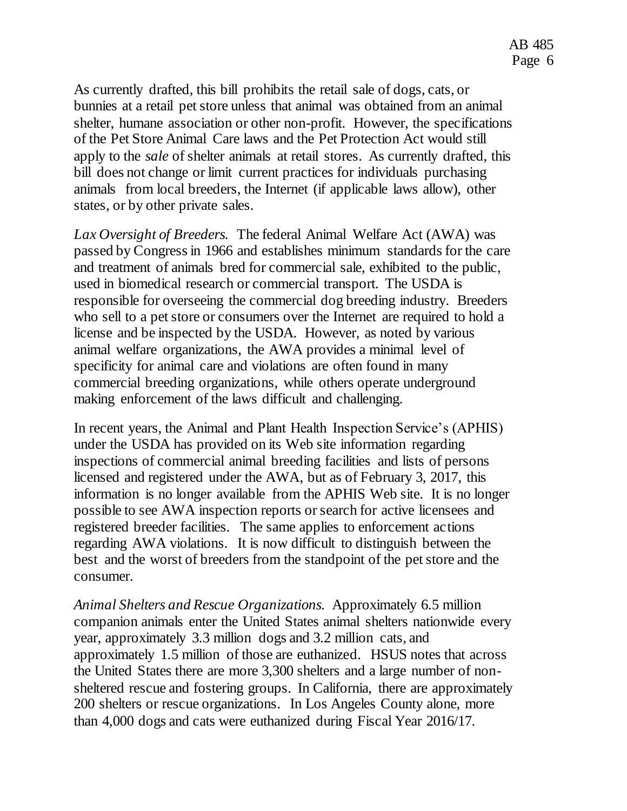As currently drafted, this bill prohibits the retail sale of dogs, cats, or bunnies at a retail pet store unless that animal was obtained from an animal shelter, humane association or other non-profit. However, the specifications of the Pet Store Animal Care laws and the Pet Protection Act would still apply to the *sale* of shelter animals at retail stores. As currently drafted, this bill does not change or limit current practices for individuals purchasing animals from local breeders, the Internet (if applicable laws allow), other states, or by other private sales.

*Lax Oversight of Breeders.* The federal Animal Welfare Act (AWA) was passed by Congress in 1966 and establishes minimum standards for the care and treatment of animals bred for commercial sale, exhibited to the public, used in biomedical research or commercial transport. The USDA is responsible for overseeing the commercial dog breeding industry. Breeders who sell to a pet store or consumers over the Internet are required to hold a license and be inspected by the USDA. However, as noted by various animal welfare organizations, the AWA provides a minimal level of specificity for animal care and violations are often found in many commercial breeding organizations, while others operate underground making enforcement of the laws difficult and challenging.

In recent years, the Animal and Plant Health Inspection Service's (APHIS) under the USDA has provided on its Web site information regarding inspections of commercial animal breeding facilities and lists of persons licensed and registered under the AWA, but as of February 3, 2017, this information is no longer available from the APHIS Web site. It is no longer possible to see AWA inspection reports or search for active licensees and registered breeder facilities. The same applies to enforcement actions regarding AWA violations. It is now difficult to distinguish between the best and the worst of breeders from the standpoint of the pet store and the consumer.

*Animal Shelters and Rescue Organizations.* Approximately 6.5 million companion animals enter the United States animal shelters nationwide every year, approximately 3.3 million dogs and 3.2 million cats, and approximately 1.5 million of those are euthanized. HSUS notes that across the United States there are more 3,300 shelters and a large number of nonsheltered rescue and fostering groups. In California, there are approximately 200 shelters or rescue organizations. In Los Angeles County alone, more than 4,000 dogs and cats were euthanized during Fiscal Year 2016/17.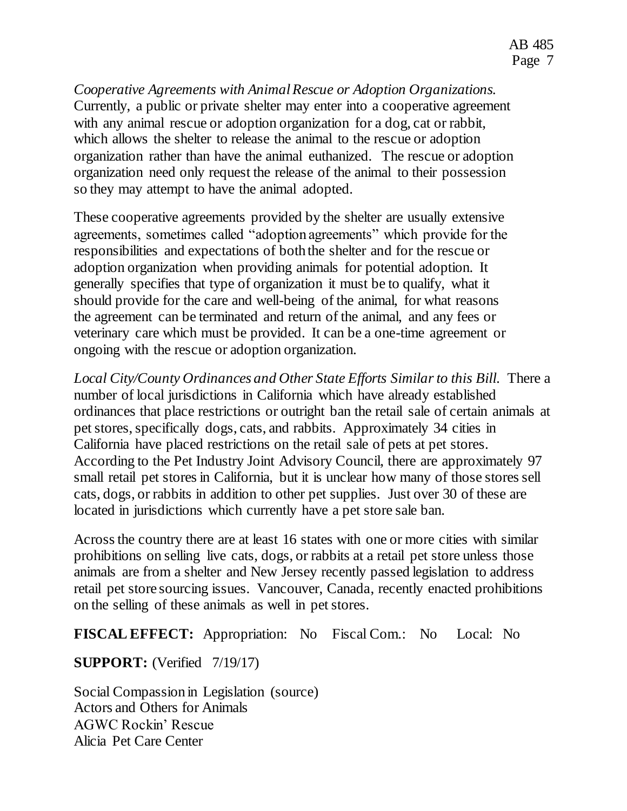*Cooperative Agreements with Animal Rescue or Adoption Organizations.* Currently, a public or private shelter may enter into a cooperative agreement with any animal rescue or adoption organization for a dog, cat or rabbit, which allows the shelter to release the animal to the rescue or adoption organization rather than have the animal euthanized. The rescue or adoption organization need only request the release of the animal to their possession so they may attempt to have the animal adopted.

These cooperative agreements provided by the shelter are usually extensive agreements, sometimes called "adoption agreements" which provide for the responsibilities and expectations of both the shelter and for the rescue or adoption organization when providing animals for potential adoption. It generally specifies that type of organization it must be to qualify, what it should provide for the care and well-being of the animal, for what reasons the agreement can be terminated and return of the animal, and any fees or veterinary care which must be provided. It can be a one-time agreement or ongoing with the rescue or adoption organization.

*Local City/County Ordinances and Other State Efforts Similar to this Bill.*There a number of local jurisdictions in California which have already established ordinances that place restrictions or outright ban the retail sale of certain animals at pet stores, specifically dogs, cats, and rabbits. Approximately 34 cities in California have placed restrictions on the retail sale of pets at pet stores. According to the Pet Industry Joint Advisory Council, there are approximately 97 small retail pet stores in California, but it is unclear how many of those stores sell cats, dogs, or rabbits in addition to other pet supplies. Just over 30 of these are located in jurisdictions which currently have a pet store sale ban.

Across the country there are at least 16 states with one or more cities with similar prohibitions on selling live cats, dogs, or rabbits at a retail pet store unless those animals are from a shelter and New Jersey recently passed legislation to address retail pet store sourcing issues. Vancouver, Canada, recently enacted prohibitions on the selling of these animals as well in pet stores.

**FISCAL EFFECT:** Appropriation: No Fiscal Com.: No Local: No

**SUPPORT:** (Verified 7/19/17)

Social Compassion in Legislation (source) Actors and Others for Animals AGWC Rockin' Rescue Alicia Pet Care Center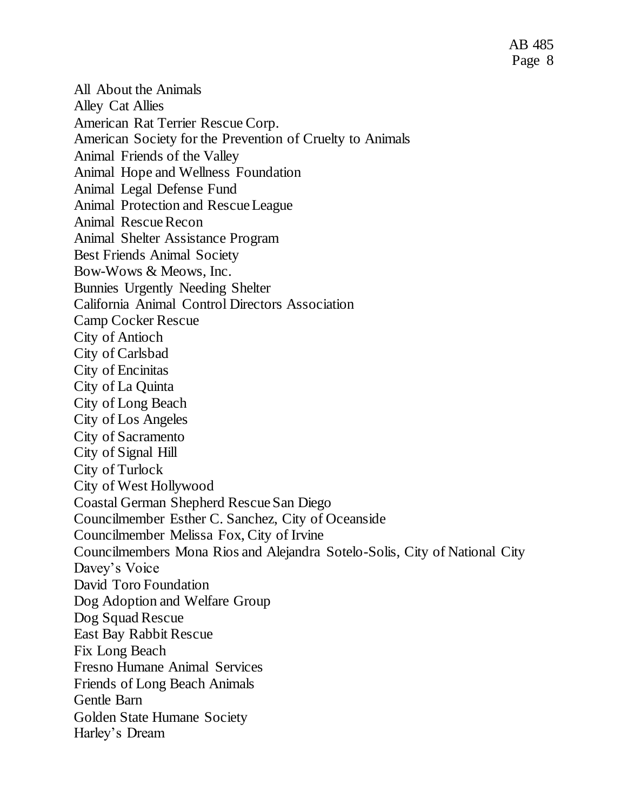AB 485 Page 8

All About the Animals Alley Cat Allies American Rat Terrier Rescue Corp. American Society for the Prevention of Cruelty to Animals Animal Friends of the Valley Animal Hope and Wellness Foundation Animal Legal Defense Fund Animal Protection and Rescue League Animal Rescue Recon Animal Shelter Assistance Program Best Friends Animal Society Bow-Wows & Meows, Inc. Bunnies Urgently Needing Shelter California Animal Control Directors Association Camp Cocker Rescue City of Antioch City of Carlsbad City of Encinitas City of La Quinta City of Long Beach City of Los Angeles City of Sacramento City of Signal Hill City of Turlock City of West Hollywood Coastal German Shepherd Rescue San Diego Councilmember Esther C. Sanchez, City of Oceanside Councilmember Melissa Fox, City of Irvine Councilmembers Mona Rios and Alejandra Sotelo-Solis, City of National City Davey's Voice David Toro Foundation Dog Adoption and Welfare Group Dog Squad Rescue East Bay Rabbit Rescue Fix Long Beach Fresno Humane Animal Services Friends of Long Beach Animals Gentle Barn Golden State Humane Society Harley's Dream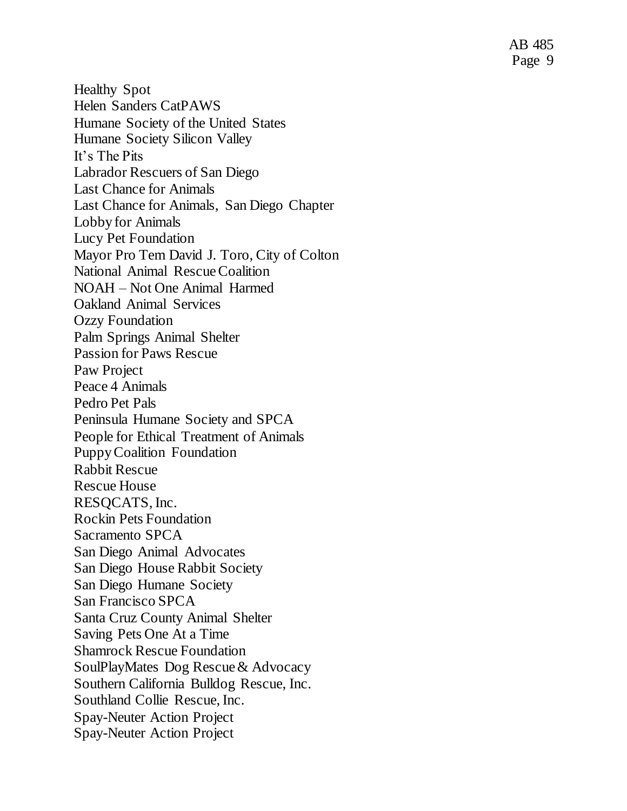Healthy Spot Helen Sanders CatPAWS Humane Society of the United States Humane Society Silicon Valley It's The Pits Labrador Rescuers of San Diego Last Chance for Animals Last Chance for Animals, San Diego Chapter Lobby for Animals Lucy Pet Foundation Mayor Pro Tem David J. Toro, City of Colton National Animal Rescue Coalition NOAH – Not One Animal Harmed Oakland Animal Services Ozzy Foundation Palm Springs Animal Shelter Passion for Paws Rescue Paw Project Peace 4 Animals Pedro Pet Pals Peninsula Humane Society and SPCA People for Ethical Treatment of Animals Puppy Coalition Foundation Rabbit Rescue Rescue House RESQCATS, Inc. Rockin Pets Foundation Sacramento SPCA San Diego Animal Advocates San Diego House Rabbit Society San Diego Humane Society San Francisco SPCA Santa Cruz County Animal Shelter Saving Pets One At a Time Shamrock Rescue Foundation SoulPlayMates Dog Rescue & Advocacy Southern California Bulldog Rescue, Inc. Southland Collie Rescue, Inc. Spay -Neuter Action Project Spay -Neuter Action Project

AB 485 Page 9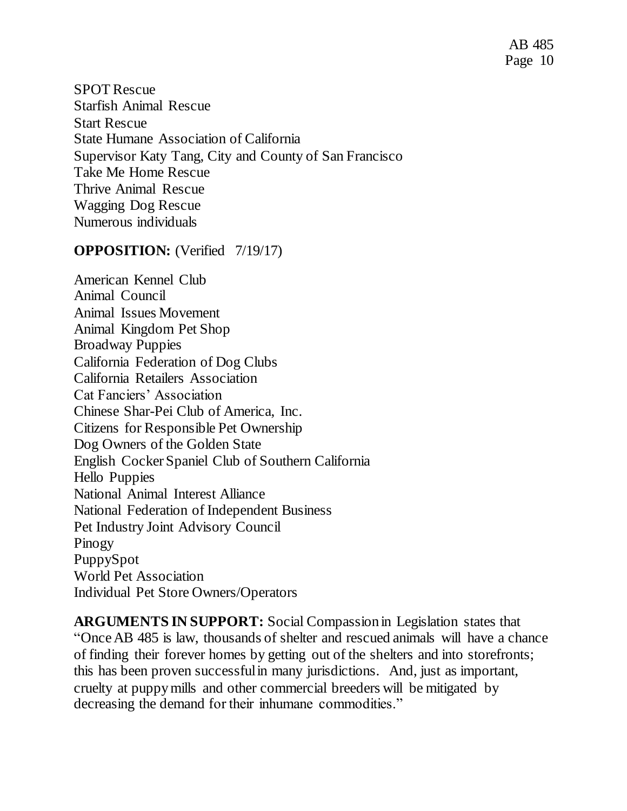SPOT Rescue Starfish Animal Rescue Start Rescue State Humane Association of California Supervisor Katy Tang, City and County of San Francisco Take Me Home Rescue Thrive Animal Rescue Wagging Dog Rescue Numerous individuals

## **OPPOSITION:** (Verified 7/19/17)

American Kennel Club Animal Council Animal Issues Movement Animal Kingdom Pet Shop Broadway Puppies California Federation of Dog Clubs California Retailers Association Cat Fanciers' Association Chinese Shar-Pei Club of America, Inc. Citizens for Responsible Pet Ownership Dog Owners of the Golden State English Cocker Spaniel Club of Southern California Hello Puppies National Animal Interest Alliance National Federation of Independent Business Pet Industry Joint Advisory Council Pinogy PuppySpot World Pet Association Individual Pet Store Owners/Operators

**ARGUMENTS IN SUPPORT:** Social Compassion in Legislation states that "Once AB 485 is law, thousands of shelter and rescued animals will have a chance of finding their forever homes by getting out of the shelters and into storefronts; this has been proven successful in many jurisdictions. And, just as important, cruelty at puppy mills and other commercial breeders will be mitigated by decreasing the demand for their inhumane commodities."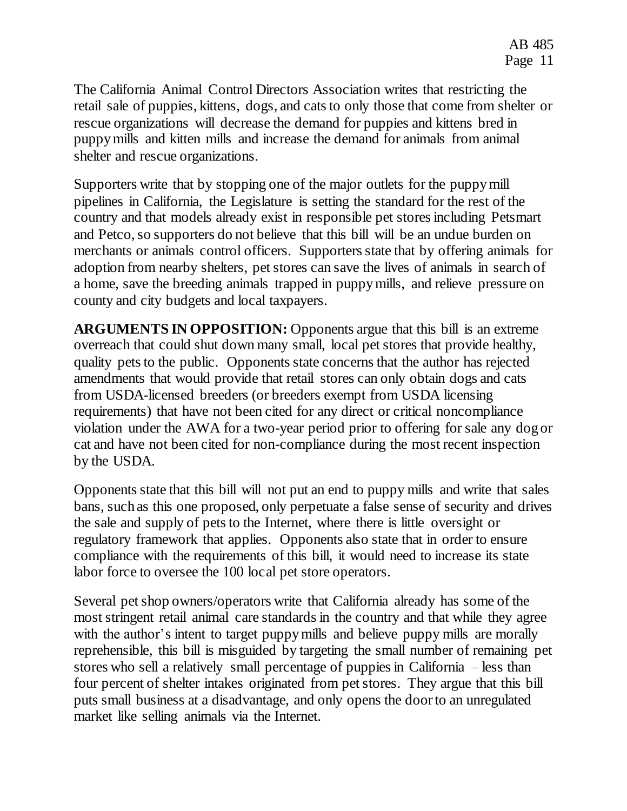The California Animal Control Directors Association writes that restricting the retail sale of puppies, kittens, dogs, and cats to only those that come from shelter or rescue organizations will decrease the demand for puppies and kittens bred in puppy mills and kitten mills and increase the demand for animals from animal shelter and rescue organizations.

Supporters write that by stopping one of the major outlets for the puppy mill pipelines in California, the Legislature is setting the standard for the rest of the country and that models already exist in responsible pet stores including Petsmart and Petco, so supporters do not believe that this bill will be an undue burden on merchants or animals control officers. Supporters state that by offering animals for adoption from nearby shelters, pet stores can save the lives of animals in search of a home, save the breeding animals trapped in puppy mills, and relieve pressure on county and city budgets and local taxpayers.

**ARGUMENTS IN OPPOSITION:** Opponents argue that this bill is an extreme overreach that could shut down many small, local pet stores that provide healthy, quality pets to the public. Opponents state concerns that the author has rejected amendments that would provide that retail stores can only obtain dogs and cats from USDA-licensed breeders (or breeders exempt from USDA licensing requirements) that have not been cited for any direct or critical noncompliance violation under the AWA for a two-year period prior to offering for sale any dog or cat and have not been cited for non-compliance during the most recent inspection by the USDA.

Opponents state that this bill will not put an end to puppy mills and write that sales bans, such as this one proposed, only perpetuate a false sense of security and drives the sale and supply of pets to the Internet, where there is little oversight or regulatory framework that applies. Opponents also state that in order to ensure compliance with the requirements of this bill, it would need to increase its state labor force to oversee the 100 local pet store operators.

Several pet shop owners/operators write that California already has some of the most stringent retail animal care standards in the country and that while they agree with the author's intent to target puppy mills and believe puppy mills are morally reprehensible, this bill is misguided by targeting the small number of remaining pet stores who sell a relatively small percentage of puppies in California – less than four percent of shelter intakes originated from pet stores. They argue that this bill puts small business at a disadvantage, and only opens the door to an unregulated market like selling animals via the Internet.